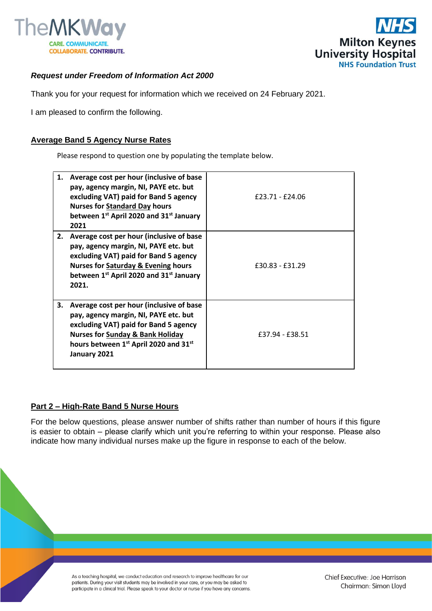



## *Request under Freedom of Information Act 2000*

Thank you for your request for information which we received on 24 February 2021.

I am pleased to confirm the following.

## **Average Band 5 Agency Nurse Rates**

Please respond to question one by populating the template below.

| 1. | Average cost per hour (inclusive of base<br>pay, agency margin, NI, PAYE etc. but<br>excluding VAT) paid for Band 5 agency<br><b>Nurses for Standard Day hours</b><br>between 1 <sup>st</sup> April 2020 and 31 <sup>st</sup> January<br>2021              | $£23.71 - £24.06$ |
|----|------------------------------------------------------------------------------------------------------------------------------------------------------------------------------------------------------------------------------------------------------------|-------------------|
| 2. | Average cost per hour (inclusive of base<br>pay, agency margin, NI, PAYE etc. but<br>excluding VAT) paid for Band 5 agency<br><b>Nurses for Saturday &amp; Evening hours</b><br>between 1 <sup>st</sup> April 2020 and 31 <sup>st</sup> January<br>2021.   | £30.83 - £31.29   |
| 3. | Average cost per hour (inclusive of base<br>pay, agency margin, NI, PAYE etc. but<br>excluding VAT) paid for Band 5 agency<br><b>Nurses for Sunday &amp; Bank Holiday</b><br>hours between 1 <sup>st</sup> April 2020 and 31 <sup>st</sup><br>January 2021 | £37.94 - £38.51   |

## **Part 2 – High-Rate Band 5 Nurse Hours**

For the below questions, please answer number of shifts rather than number of hours if this figure is easier to obtain – please clarify which unit you're referring to within your response. Please also indicate how many individual nurses make up the figure in response to each of the below.

> As a teaching hospital, we conduct education and research to improve healthcare for our patients. During your visit students may be involved in your care, or you may be asked to participate in a clinical trial. Please speak to your doctor or nurse if you have any concerns.